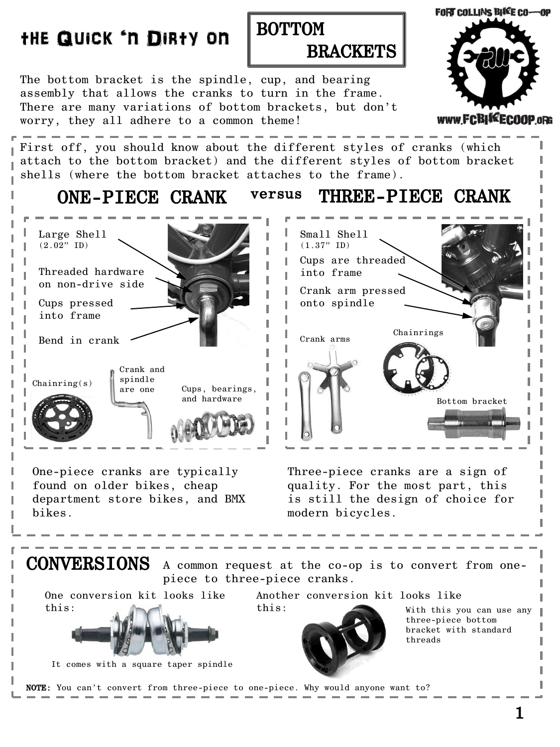## **FORT COLLINS BIKE CO-OP** BOTTOM the Quick 'n Dirty on **BRACKETS** The bottom bracket is the spindle, cup, and bearing assembly that allows the cranks to turn in the frame. There are many variations of bottom brackets, but don't www.FCBI\*ECOOP.oRG worry, they all adhere to a common theme! First off, you should know about the different styles of cranks (which attach to the bottom bracket) and the different styles of bottom bracket shells (where the bottom bracket attaches to the frame). ONE-PIECE CRANK versus THREE-PIECE CRANK Large Shell Small Shell  $(2.02"$  ID)  $(1.37"$  ID) Cups are threaded Threaded hardware into frame on non-drive side Crank arm pressed Cups pressed onto spindle into frame Chainrings Crank arms Bend in crank Crank and spindle  $\begin{array}{c} \text{Chainring(s)} \\ \text{are one} \end{array}$   $\begin{array}{c} \text{SpInure} \\ \text{are one} \end{array}$  Cups, bearings, are one and hardware Bottom bracket One-piece cranks are typically Three-piece cranks are a sign of found on older bikes, cheap

department store bikes, and BMX quality. For the most part, this is still the design of choice for modern bicycles.

CONVERSIONS A common request at the co-op is to convert from onepiece to three-piece cranks. One conversion kit looks like this: It comes with a square taper spindle Another conversion kit looks like this: With this you can use any three-piece bottom bracket with standard threads NOTE: You can't convert from three-piece to one-piece. Why would anyone want to?

bikes.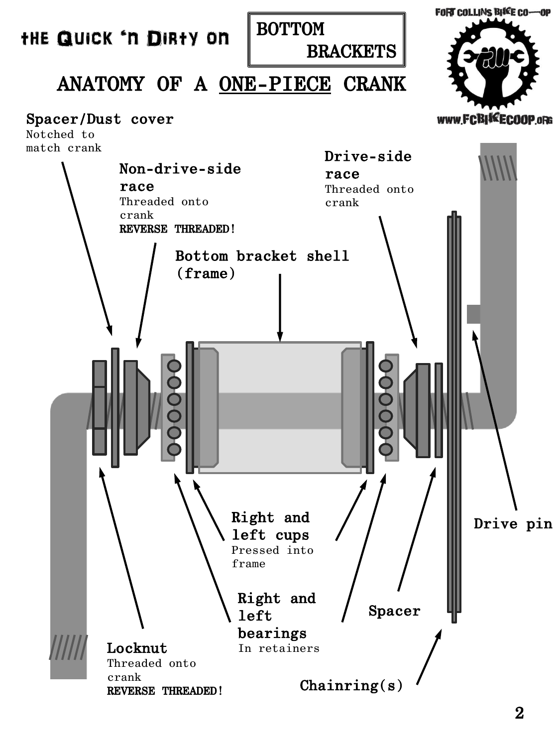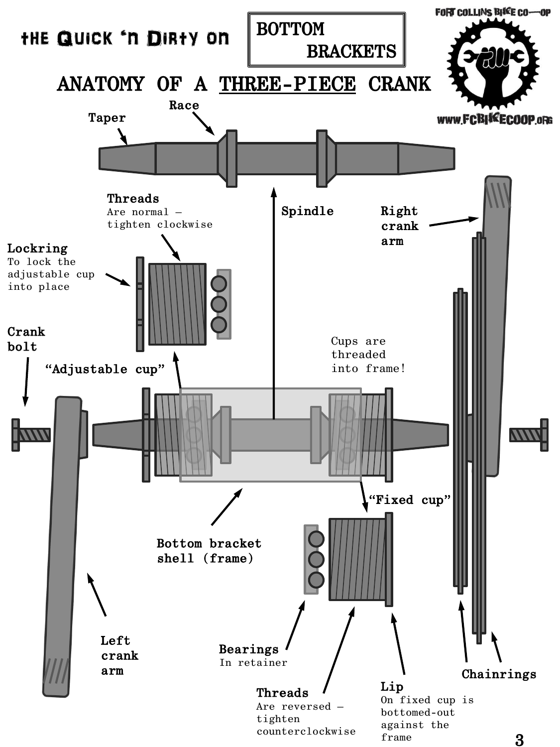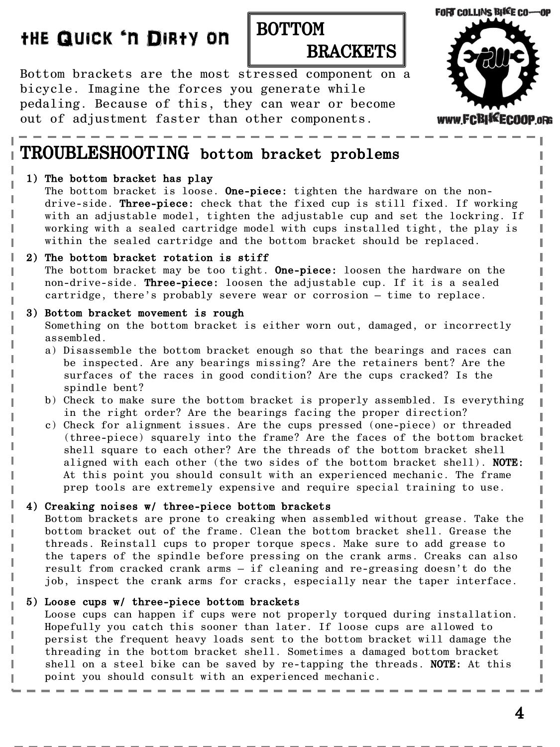## the Quick 'n Dirty on

## BOTTOM **BRACKETS**

Bottom brackets are the most stressed component on a bicycle. Imagine the forces you generate while pedaling. Because of this, they can wear or become out of adjustment faster than other components.



## TROUBLESHOOTING bottom bracket problems

#### 1) The bottom bracket has play

The bottom bracket is loose. One-piece: tighten the hardware on the nondrive-side. Three-piece: check that the fixed cup is still fixed. If working with an adjustable model, tighten the adjustable cup and set the lockring. If working with a sealed cartridge model with cups installed tight, the play is within the sealed cartridge and the bottom bracket should be replaced.

#### 2) The bottom bracket rotation is stiff

The bottom bracket may be too tight. One-piece: loosen the hardware on the non-drive-side. Three-piece: loosen the adjustable cup. If it is a sealed cartridge, there's probably severe wear or corrosion – time to replace.

#### 3) Bottom bracket movement is rough

Something on the bottom bracket is either worn out, damaged, or incorrectly assembled.

- a) Disassemble the bottom bracket enough so that the bearings and races can be inspected. Are any bearings missing? Are the retainers bent? Are the surfaces of the races in good condition? Are the cups cracked? Is the spindle bent?
- b) Check to make sure the bottom bracket is properly assembled. Is everything in the right order? Are the bearings facing the proper direction?
- c) Check for alignment issues. Are the cups pressed (one-piece) or threaded (three-piece) squarely into the frame? Are the faces of the bottom bracket shell square to each other? Are the threads of the bottom bracket shell aligned with each other (the two sides of the bottom bracket shell). NOTE: At this point you should consult with an experienced mechanic. The frame prep tools are extremely expensive and require special training to use.

## 4) Creaking noises w/ three-piece bottom brackets

 Bottom brackets are prone to creaking when assembled without grease. Take the bottom bracket out of the frame. Clean the bottom bracket shell. Grease the threads. Reinstall cups to proper torque specs. Make sure to add grease to the tapers of the spindle before pressing on the crank arms. Creaks can also result from cracked crank arms – if cleaning and re-greasing doesn't do the job, inspect the crank arms for cracks, especially near the taper interface.

#### 5) Loose cups w/ three-piece bottom brackets

 Loose cups can happen if cups were not properly torqued during installation. Hopefully you catch this sooner than later. If loose cups are allowed to persist the frequent heavy loads sent to the bottom bracket will damage the threading in the bottom bracket shell. Sometimes a damaged bottom bracket shell on a steel bike can be saved by re-tapping the threads. NOTE: At this point you should consult with an experienced mechanic.

ı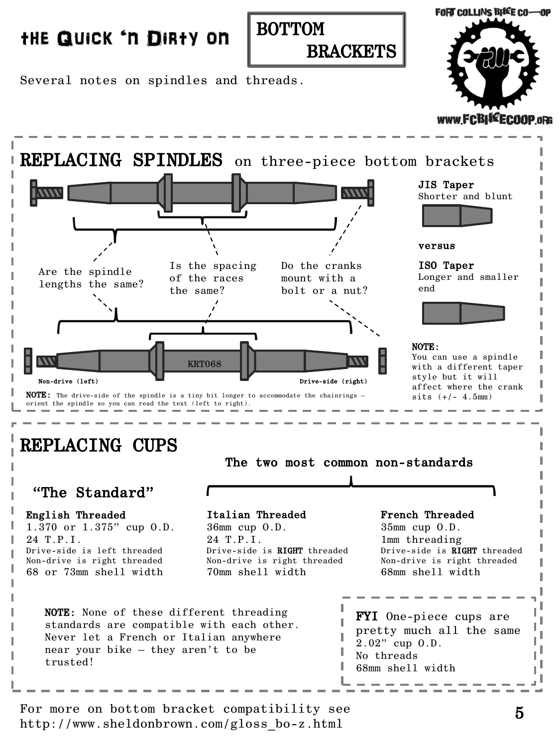## the Quick 'n Dirty on



**FORT COLLINS BIKE CO-OP** 



Several notes on spindles and threads. REPLACING CUPS REPLACING SPINDLES on three-piece bottom brackets Are the spindle lengths the same? Is the spacing of the races the same? Do the cranks mount with a bolt or a nut? KRT068 NOTE: The drive-side of the spindle is a tiny bit longer to accommodate the chainrings orient the spindle so you can read the text (left to right). Non-drive (left) **Drive-side (right)** Drive-side (right)

JIS Taper Shorter and blunt

versus

ISO Taper Longer and smaller end



#### NOTE:

You can use a spindle with a different taper style but it will affect where the crank  $sits$  (+/- 4.5mm)

English Threaded 1.370 or 1.375" cup O.D. 24 T.P.I. Drive-side is left threaded Non-drive is right threaded 68 or 73mm shell width FYI One-piece cups are pretty much all the same 2.02" cup O.D. No threads 68mm shell width Italian Threaded 36mm cup O.D. 24 T.P.I. Drive-side is RIGHT threaded Non-drive is right threaded 70mm shell width French Threaded 35mm cup O.D. 1mm threading Drive-side is **RIGHT** threaded Non-drive is right threaded 68mm shell width "The Standard" NOTE: None of these different threading standards are compatible with each other. Never let a French or Italian anywhere near your bike – they aren't to be trusted!

The two most common non-standards